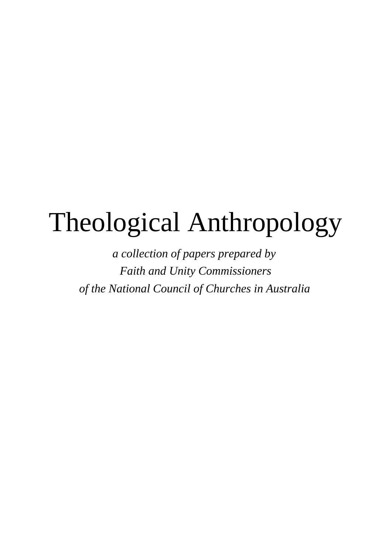# Theological Anthropology

*a collection of papers prepared by Faith and Unity Commissioners of the National Council of Churches in Australia*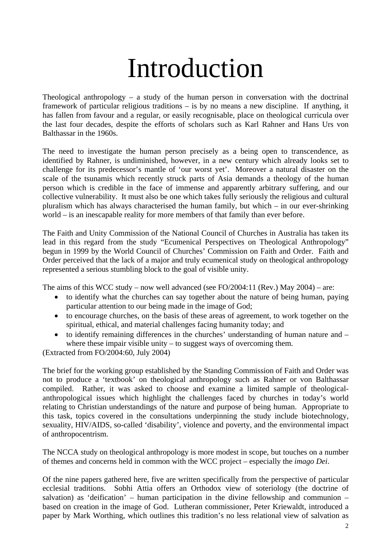### Introduction

Theological anthropology – a study of the human person in conversation with the doctrinal framework of particular religious traditions – is by no means a new discipline. If anything, it has fallen from favour and a regular, or easily recognisable, place on theological curricula over the last four decades, despite the efforts of scholars such as Karl Rahner and Hans Urs von Balthassar in the 1960s.

The need to investigate the human person precisely as a being open to transcendence, as identified by Rahner, is undiminished, however, in a new century which already looks set to challenge for its predecessor's mantle of 'our worst yet'. Moreover a natural disaster on the scale of the tsunamis which recently struck parts of Asia demands a theology of the human person which is credible in the face of immense and apparently arbitrary suffering, and our collective vulnerability. It must also be one which takes fully seriously the religious and cultural pluralism which has always characterised the human family, but which – in our ever-shrinking world – is an inescapable reality for more members of that family than ever before.

The Faith and Unity Commission of the National Council of Churches in Australia has taken its lead in this regard from the study "Ecumenical Perspectives on Theological Anthropology" begun in 1999 by the World Council of Churches' Commission on Faith and Order. Faith and Order perceived that the lack of a major and truly ecumenical study on theological anthropology represented a serious stumbling block to the goal of visible unity.

The aims of this WCC study – now well advanced (see FO/2004:11 (Rev.) May 2004) – are:

- to identify what the churches can say together about the nature of being human, paying particular attention to our being made in the image of God;
- to encourage churches, on the basis of these areas of agreement, to work together on the spiritual, ethical, and material challenges facing humanity today; and
- to identify remaining differences in the churches' understanding of human nature and where these impair visible unity – to suggest ways of overcoming them.

(Extracted from FO/2004:60, July 2004)

The brief for the working group established by the Standing Commission of Faith and Order was not to produce a 'textbook' on theological anthropology such as Rahner or von Balthassar compiled. Rather, it was asked to choose and examine a limited sample of theologicalanthropological issues which highlight the challenges faced by churches in today's world relating to Christian understandings of the nature and purpose of being human. Appropriate to this task, topics covered in the consultations underpinning the study include biotechnology, sexuality, HIV/AIDS, so-called 'disability', violence and poverty, and the environmental impact of anthropocentrism.

The NCCA study on theological anthropology is more modest in scope, but touches on a number of themes and concerns held in common with the WCC project – especially the *imago Dei*.

Of the nine papers gathered here, five are written specifically from the perspective of particular ecclesial traditions. Sobhi Attia offers an Orthodox view of soteriology (the doctrine of salvation) as 'deification' – human participation in the divine fellowship and communion – based on creation in the image of God. Lutheran commissioner, Peter Kriewaldt, introduced a paper by Mark Worthing, which outlines this tradition's no less relational view of salvation as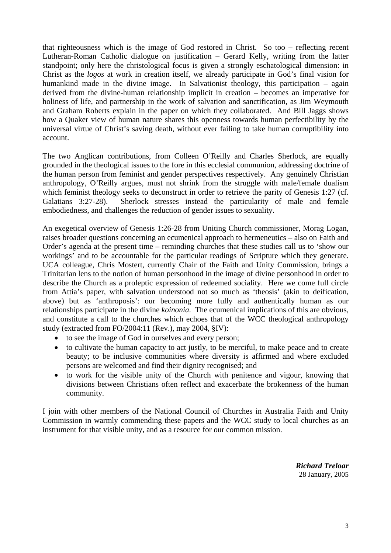that righteousness which is the image of God restored in Christ. So too – reflecting recent Lutheran-Roman Catholic dialogue on justification – Gerard Kelly, writing from the latter standpoint; only here the christological focus is given a strongly eschatological dimension: in Christ as the *logos* at work in creation itself, we already participate in God's final vision for humankind made in the divine image. In Salvationist theology, this participation – again derived from the divine-human relationship implicit in creation – becomes an imperative for holiness of life, and partnership in the work of salvation and sanctification, as Jim Weymouth and Graham Roberts explain in the paper on which they collaborated. And Bill Jaggs shows how a Quaker view of human nature shares this openness towards human perfectibility by the universal virtue of Christ's saving death, without ever failing to take human corruptibility into account.

The two Anglican contributions, from Colleen O'Reilly and Charles Sherlock, are equally grounded in the theological issues to the fore in this ecclesial communion, addressing doctrine of the human person from feminist and gender perspectives respectively. Any genuinely Christian anthropology, O'Reilly argues, must not shrink from the struggle with male/female dualism which feminist theology seeks to deconstruct in order to retrieve the parity of Genesis 1:27 (cf. Galatians 3:27-28). Sherlock stresses instead the particularity of male and female embodiedness, and challenges the reduction of gender issues to sexuality.

An exegetical overview of Genesis 1:26-28 from Uniting Church commissioner, Morag Logan, raises broader questions concerning an ecumenical approach to hermeneutics – also on Faith and Order's agenda at the present time – reminding churches that these studies call us to 'show our workings' and to be accountable for the particular readings of Scripture which they generate. UCA colleague, Chris Mostert, currently Chair of the Faith and Unity Commission, brings a Trinitarian lens to the notion of human personhood in the image of divine personhood in order to describe the Church as a proleptic expression of redeemed sociality. Here we come full circle from Attia's paper, with salvation understood not so much as 'theosis' (akin to deification, above) but as 'anthroposis': our becoming more fully and authentically human as our relationships participate in the divine *koinonia*. The ecumenical implications of this are obvious, and constitute a call to the churches which echoes that of the WCC theological anthropology study (extracted from FO/2004:11 (Rev.), may 2004, §IV):

- to see the image of God in ourselves and every person;
- to cultivate the human capacity to act justly, to be merciful, to make peace and to create beauty; to be inclusive communities where diversity is affirmed and where excluded persons are welcomed and find their dignity recognised; and
- to work for the visible unity of the Church with penitence and vigour, knowing that divisions between Christians often reflect and exacerbate the brokenness of the human community.

I join with other members of the National Council of Churches in Australia Faith and Unity Commission in warmly commending these papers and the WCC study to local churches as an instrument for that visible unity, and as a resource for our common mission.

> *Richard Treloar* 28 January, 2005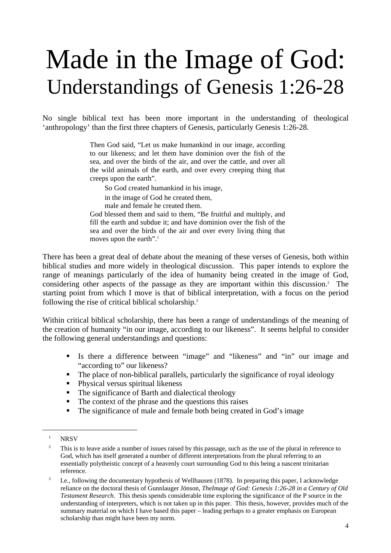### Made in the Image of God: Understandings of Genesis 1:26-28

No single biblical text has been more important in the understanding of theological 'anthropology' than the first three chapters of Genesis, particularly Genesis 1:26-28.

> Then God said, "Let us make humankind in our image, according to our likeness; and let them have dominion over the fish of the sea, and over the birds of the air, and over the cattle, and over all the wild animals of the earth, and over every creeping thing that creeps upon the earth".

So God created humankind in his image,

in the image of God he created them,

male and female he created them.

God blessed them and said to them, "Be fruitful and multiply, and fill the earth and subdue it; and have dominion over the fish of the sea and over the birds of the air and over every living thing that moves upon the earth".<sup>[1](#page-3-0)</sup>

There has been a great deal of debate about the meaning of these verses of Genesis, both within biblical studies and more widely in theological discussion. This paper intends to explore the range of meanings particularly of the idea of humanity being created in the image of God, considering other aspects of the passage as they are important within this discussion.<sup>2</sup> The starting point from which I move is that of biblical interpretation, with a focus on the period following the rise of critical biblical scholarship.[3](#page-3-2)

Within critical biblical scholarship, there has been a range of understandings of the meaning of the creation of humanity "in our image, according to our likeness". It seems helpful to consider the following general understandings and questions:

- Is there a difference between "image" and "likeness" and "in" our image and "according to" our likeness?
- The place of non-biblical parallels, particularly the significance of royal ideology
- Physical versus spiritual likeness
- The significance of Barth and dialectical theology
- The context of the phrase and the questions this raises
- The significance of male and female both being created in God's image

<span id="page-3-0"></span> $1$  NRSV

<span id="page-3-1"></span><sup>&</sup>lt;sup>2</sup> This is to leave aside a number of issues raised by this passage, such as the use of the plural in reference to God, which has itself generated a number of different interpretations from the plural referring to an essentially polytheistic concept of a heavenly court surrounding God to this being a nascent trinitarian reference.

<span id="page-3-2"></span><sup>&</sup>lt;sup>3</sup> I.e., following the documentary hypothesis of Wellhausen (1878). In preparing this paper, I acknowledge reliance on the doctoral thesis of Gunnlauger Jönson, *TheImage of God: Genesis 1:26-28 in a Century of Old Testament Research.* This thesis spends considerable time exploring the significance of the P source in the understanding of interpreters, which is not taken up in this paper. This thesis, however, provides much of the summary material on which I have based this paper – leading perhaps to a greater emphasis on European scholarship than might have been my norm.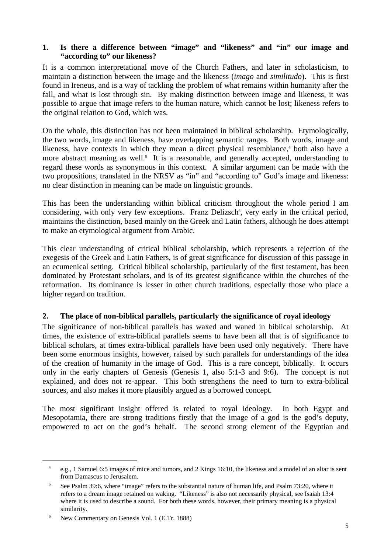### **1. Is there a difference between "image" and "likeness" and "in" our image and "according to" our likeness?**

It is a common interpretational move of the Church Fathers, and later in scholasticism, to maintain a distinction between the image and the likeness (*imago* and *similitudo*). This is first found in Ireneus, and is a way of tackling the problem of what remains within humanity after the fall, and what is lost through sin. By making distinction between image and likeness, it was possible to argue that image refers to the human nature, which cannot be lost; likeness refers to the original relation to God, which was.

On the whole, this distinction has not been maintained in biblical scholarship. Etymologically, the two words, image and likeness, have overlapping semantic ranges. Both words, image and likeness, have contexts in which they mean a direct physical resemblance,<sup>4</sup> both also have a more abstract meaning as well.<sup>5</sup> It is a reasonable, and generally accepted, understanding to regard these words as synonymous in this context. A similar argument can be made with the two propositions, translated in the NRSV as "in" and "according to" God's image and likeness: no clear distinction in meaning can be made on linguistic grounds.

This has been the understanding within biblical criticism throughout the whole period I am considering, with only very few exceptions. Franz Delizsch<sup>6</sup>, very early in the critical period, maintains the distinction, based mainly on the Greek and Latin fathers, although he does attempt to make an etymological argument from Arabic.

This clear understanding of critical biblical scholarship, which represents a rejection of the exegesis of the Greek and Latin Fathers, is of great significance for discussion of this passage in an ecumenical setting. Critical biblical scholarship, particularly of the first testament, has been dominated by Protestant scholars, and is of its greatest significance within the churches of the reformation. Its dominance is lesser in other church traditions, especially those who place a higher regard on tradition.

### **2. The place of non-biblical parallels, particularly the significance of royal ideology**

The significance of non-biblical parallels has waxed and waned in biblical scholarship. At times, the existence of extra-biblical parallels seems to have been all that is of significance to biblical scholars, at times extra-biblical parallels have been used only negatively. There have been some enormous insights, however, raised by such parallels for understandings of the idea of the creation of humanity in the image of God. This is a rare concept, biblically. It occurs only in the early chapters of Genesis (Genesis 1, also 5:1-3 and 9:6). The concept is not explained, and does not re-appear. This both strengthens the need to turn to extra-biblical sources, and also makes it more plausibly argued as a borrowed concept.

The most significant insight offered is related to royal ideology. In both Egypt and Mesopotamia, there are strong traditions firstly that the image of a god is the god's deputy, empowered to act on the god's behalf. The second strong element of the Egyptian and

<span id="page-4-0"></span><sup>4</sup> e.g., 1 Samuel 6:5 images of mice and tumors, and 2 Kings 16:10, the likeness and a model of an altar is sent from Damascus to Jerusalem.

<span id="page-4-1"></span><sup>&</sup>lt;sup>5</sup> See Psalm 39:6, where "image" refers to the substantial nature of human life, and Psalm 73:20, where it refers to a dream image retained on waking. "Likeness" is also not necessarily physical, see Isaiah 13:4 where it is used to describe a sound. For both these words, however, their primary meaning is a physical similarity.

<span id="page-4-2"></span><sup>6</sup> New Commentary on Genesis Vol. 1 (E.Tr. 1888)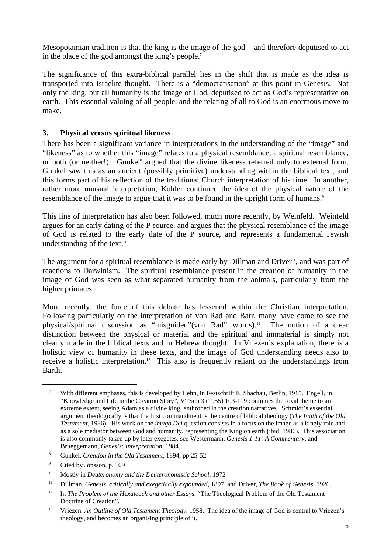Mesopotamian tradition is that the king is the image of the god – and therefore deputised to act in the place of the god amongst the king's people[.7](#page-5-0)

The significance of this extra-biblical parallel lies in the shift that is made as the idea is transported into Israelite thought. There is a "democratisation" at this point in Genesis. Not only the king, but all humanity is the image of God, deputised to act as God's representative on earth. This essential valuing of all people, and the relating of all to God is an enormous move to make.

### **3. Physical versus spiritual likeness**

There has been a significant variance in interpretations in the understanding of the "image" and "likeness" as to whether this "image" relates to a physical resemblance, a spiritual resemblance, or both (or neither!). Gunkel<sup>8</sup> argued that the divine likeness referred only to external form. Gunkel saw this as an ancient (possibly primitive) understanding within the biblical text, and this forms part of his reflection of the traditional Church interpretation of his time. In another, rather more unusual interpretation, Kohler continued the idea of the physical nature of the resemblance of the image to argue that it was to be found in the upright form of humans.<sup>[9](#page-5-2)</sup>

This line of interpretation has also been followed, much more recently, by Weinfeld. Weinfeld argues for an early dating of the P source, and argues that the physical resemblance of the image of God is related to the early date of the P source, and represents a fundamental Jewish understanding of the text.<sup>[10](#page-5-3)</sup>

The argument for a spiritual resemblance is made early by Dillman and Driver<sup>11</sup>, and was part of reactions to Darwinism. The spiritual resemblance present in the creation of humanity in the image of God was seen as what separated humanity from the animals, particularly from the higher primates.

More recently, the force of this debate has lessened within the Christian interpretation. Following particularly on the interpretation of von Rad and Barr, many have come to see the physical/spiritual discussion as "misguided"(von Rad'' words)[.12](#page-5-5) The notion of a clear distinction between the physical or material and the spiritual and immaterial is simply not clearly made in the biblical texts and in Hebrew thought. In Vriezen's explanation, there is a holistic view of humanity in these texts, and the image of God understanding needs also to receive a holistic interpretation.<sup>13</sup> This also is frequently reliant on the understandings from Barth.

<span id="page-5-0"></span><sup>7</sup> With different emphases, this is developed by Hehn, in Festschrift E. Shachau, Berlin, 1915. Engell, in "Knowledge and Life in the Creation Story", VTSup 3 (1955) 103-119 continues the royal theme to an extreme extent, seeing Adam as a divine king, enthroned in the creation narratives. Schmidt's essential argument theologically is that the first commandment is the centre of biblical theology (*The Faith of the Old Testament*, 1986). His work on the *imago Dei* question consists in a focus on the image as a kingly role and as a sole mediator between God and humanity, representing the King on earth (ibid, 1986). This association is also commonly taken up by later exegetes, see Westermann, *Genesis 1-11: A Commentary*, and Brueggemann, *Genesis: Interpretation*, 1984.

<span id="page-5-1"></span><sup>8</sup> Gunkel, *Creation in the Old Testament*, 1894, pp.25-52

<span id="page-5-2"></span><sup>9</sup> Cited by Jönsson, p. 109

<span id="page-5-3"></span><sup>10</sup> Mostly in *Deuteronomy and the Deuteronomistic School*, 1972

<span id="page-5-4"></span><sup>11</sup> Dillman, *Genesis, critically and exegetically expounded*, 1897, and Driver, *The Book of Genesis*, 1926.

<span id="page-5-5"></span><sup>&</sup>lt;sup>12</sup> In *The Problem of the Hexateuch and other Essays*, "The Theological Problem of the Old Testament Doctrine of Creation".

<span id="page-5-6"></span><sup>13</sup> Vriezen, *An Outline of Old Testament Theology*, 1958. The idea of the image of God is central to Vriezen's theology, and becomes an organising principle of it.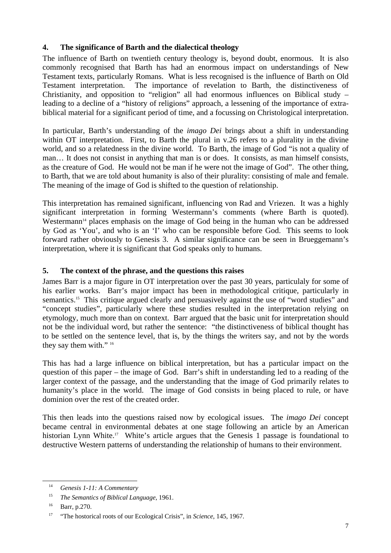### **4. The significance of Barth and the dialectical theology**

The influence of Barth on twentieth century theology is, beyond doubt, enormous. It is also commonly recognised that Barth has had an enormous impact on understandings of New Testament texts, particularly Romans. What is less recognised is the influence of Barth on Old Testament interpretation. The importance of revelation to Barth, the distinctiveness of Christianity, and opposition to "religion" all had enormous influences on Biblical study – leading to a decline of a "history of religions" approach, a lessening of the importance of extrabiblical material for a significant period of time, and a focussing on Christological interpretation.

In particular, Barth's understanding of the *imago Dei* brings about a shift in understanding within OT interpretation. First, to Barth the plural in v.26 refers to a plurality in the divine world, and so a relatedness in the divine world. To Barth, the image of God "is not a quality of man… It does not consist in anything that man is or does. It consists, as man himself consists, as the creature of God. He would not be man if he were not the image of God". The other thing, to Barth, that we are told about humanity is also of their plurality: consisting of male and female. The meaning of the image of God is shifted to the question of relationship.

This interpretation has remained significant, influencing von Rad and Vriezen. It was a highly significant interpretation in forming Westermann's comments (where Barth is quoted). Westermann<sup>14</sup> places emphasis on the image of God being in the human who can be addressed by God as 'You', and who is an 'I' who can be responsible before God. This seems to look forward rather obviously to Genesis 3. A similar significance can be seen in Brueggemann's interpretation, where it is significant that God speaks only to humans.

### **5. The context of the phrase, and the questions this raises**

James Barr is a major figure in OT interpretation over the past 30 years, particulaly for some of his earlier works. Barr's major impact has been in methodological critique, particularly in semantics.<sup>15</sup> This critique argued clearly and persuasively against the use of "word studies" and "concept studies", particularly where these studies resulted in the interpretation relying on etymology, much more than on context. Barr argued that the basic unit for interpretation should not be the individual word, but rather the sentence: "the distinctiveness of biblical thought has to be settled on the sentence level, that is, by the things the writers say, and not by the words they say them with." [16](#page-6-2)

This has had a large influence on biblical interpretation, but has a particular impact on the question of this paper – the image of God. Barr's shift in understanding led to a reading of the larger context of the passage, and the understanding that the image of God primarily relates to humanity's place in the world. The image of God consists in being placed to rule, or have dominion over the rest of the created order.

This then leads into the questions raised now by ecological issues. The *imago Dei* concept became central in environmental debates at one stage following an article by an American historian Lynn White.<sup>17</sup> White's article argues that the Genesis 1 passage is foundational to destructive Western patterns of understanding the relationship of humans to their environment.

<span id="page-6-0"></span> <sup>14</sup> *Genesis 1-11: A Commentary*

<span id="page-6-1"></span><sup>15</sup> *The Semantics of Biblical Language*, 1961.

<span id="page-6-2"></span><sup>16</sup> Barr, p.270.

<span id="page-6-3"></span><sup>17</sup> "The hostorical roots of our Ecological Crisis", in *Science*, 145, 1967.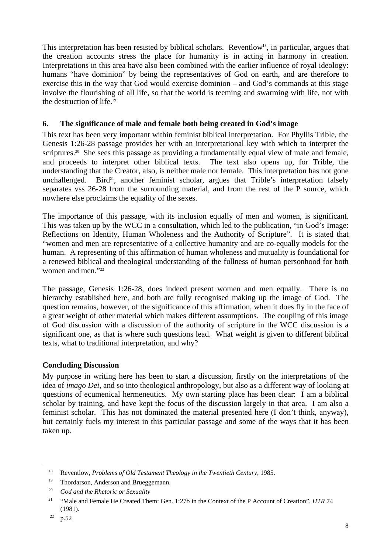This interpretation has been resisted by biblical scholars. Reventlow<sup>18</sup>, in particular, argues that the creation accounts stress the place for humanity is in acting in harmony in creation. Interpretations in this area have also been combined with the earlier influence of royal ideology: humans "have dominion" by being the representatives of God on earth, and are therefore to exercise this in the way that God would exercise dominion – and God's commands at this stage involve the flourishing of all life, so that the world is teeming and swarming with life, not with the destruction of life[.19](#page-7-1)

### **6. The significance of male and female both being created in God's image**

This text has been very important within feminist biblical interpretation. For Phyllis Trible, the Genesis 1:26-28 passage provides her with an interpretational key with which to interpret the scriptures.<sup>20</sup> She sees this passage as providing a fundamentally equal view of male and female, and proceeds to interpret other biblical texts. The text also opens up, for Trible, the understanding that the Creator, also, is neither male nor female. This interpretation has not gone unchallenged. Bird<sup>21</sup>, another feminist scholar, argues that Trible's interpretation falsely separates vss 26-28 from the surrounding material, and from the rest of the P source, which nowhere else proclaims the equality of the sexes.

The importance of this passage, with its inclusion equally of men and women, is significant. This was taken up by the WCC in a consultation, which led to the publication, "in God's Image: Reflections on Identity, Human Wholeness and the Authority of Scripture". It is stated that "women and men are representative of a collective humanity and are co-equally models for the human. A representing of this affirmation of human wholeness and mutuality is foundational for a renewed biblical and theological understanding of the fullness of human personhood for both women and men<sup>["22](#page-7-4)</sup>

The passage, Genesis 1:26-28, does indeed present women and men equally. There is no hierarchy established here, and both are fully recognised making up the image of God. The question remains, however, of the significance of this affirmation, when it does fly in the face of a great weight of other material which makes different assumptions. The coupling of this image of God discussion with a discussion of the authority of scripture in the WCC discussion is a significant one, as that is where such questions lead. What weight is given to different biblical texts, what to traditional interpretation, and why?

### **Concluding Discussion**

My purpose in writing here has been to start a discussion, firstly on the interpretations of the idea of *imago Dei*, and so into theological anthropology, but also as a different way of looking at questions of ecumenical hermeneutics. My own starting place has been clear: I am a biblical scholar by training, and have kept the focus of the discussion largely in that area. I am also a feminist scholar. This has not dominated the material presented here (I don't think, anyway), but certainly fuels my interest in this particular passage and some of the ways that it has been taken up.

<span id="page-7-0"></span><sup>18</sup> Reventlow, *Problems of Old Testament Theology in the Twentieth Century*, 1985.

<span id="page-7-1"></span><sup>&</sup>lt;sup>19</sup> Thordarson, Anderson and Brueggemann.

<span id="page-7-2"></span><sup>20</sup> *God and the Rhetoric or Sexuality*

<span id="page-7-3"></span><sup>&</sup>lt;sup>21</sup> "Male and Female He Created Them: Gen. 1:27b in the Context of the P Account of Creation", *HTR* 74 (1981).

<span id="page-7-4"></span> $22$  p.52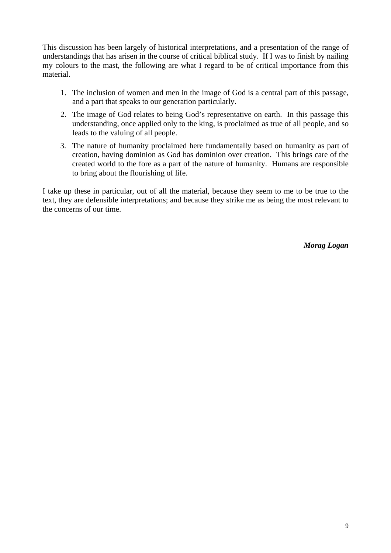This discussion has been largely of historical interpretations, and a presentation of the range of understandings that has arisen in the course of critical biblical study. If I was to finish by nailing my colours to the mast, the following are what I regard to be of critical importance from this material.

- 1. The inclusion of women and men in the image of God is a central part of this passage, and a part that speaks to our generation particularly.
- 2. The image of God relates to being God's representative on earth. In this passage this understanding, once applied only to the king, is proclaimed as true of all people, and so leads to the valuing of all people.
- 3. The nature of humanity proclaimed here fundamentally based on humanity as part of creation, having dominion as God has dominion over creation. This brings care of the created world to the fore as a part of the nature of humanity. Humans are responsible to bring about the flourishing of life.

I take up these in particular, out of all the material, because they seem to me to be true to the text, they are defensible interpretations; and because they strike me as being the most relevant to the concerns of our time.

*Morag Logan*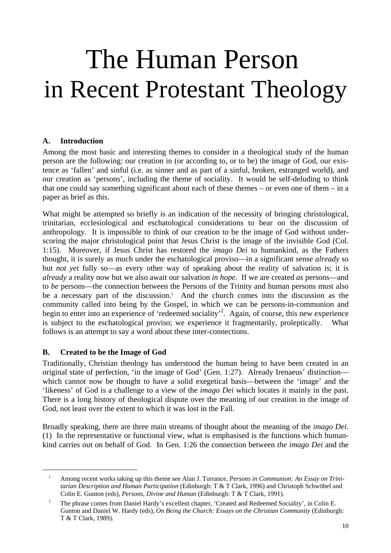### The Human Person in Recent Protestant Theology

### **A. Introduction**

Among the most basic and interesting themes to consider in a theological study of the human person are the following: our creation in (or according to, or to be) the image of God, our existence as 'fallen' and sinful (i.e. as sinner and as part of a sinful, broken, estranged world), and our creation as 'persons', including the theme of sociality. It would be self-deluding to think that one could say something significant about each of these themes – or even one of them – in a paper as brief as this.

What might be attempted so briefly is an indication of the necessity of bringing christological, trinitarian, ecclesiological and eschatological considerations to bear on the discussion of anthropology. It is impossible to think of our creation to be the image of God without underscoring the major christological point that Jesus Christ is the image of the invisible God (Col. 1:15). Moreover, if Jesus Christ has restored the *imago Dei* to humankind, as the Fathers thought, it is surely as much under the eschatological proviso—in a significant sense *already* so but *not yet* fully so—as every other way of speaking about the reality of salvation is; it is *already* a reality now but we also await our salvation *in hope*. If we are created *as* persons—and to *be* persons—the connection between the Persons of the Trinity and human persons must also be a necessary part of the discussion.<sup>1</sup> And the church comes into the discussion as the community called into being by the Gospel, in which we can be persons-in-communion and begin to enter into an experience of 'redeemed sociality'<sup>2</sup>. Again, of course, this new experience is subject to the eschatological proviso; we experience it fragmentarily, proleptically. What follows is an attempt to say a word about these inter-connections.

### **B. Created to be the Image of God**

l

Traditionally, Christian theology has understood the human being to have been created in an original state of perfection, 'in the image of God' (Gen. 1:27). Already Irenaeus' distinction which cannot now be thought to have a solid exegetical basis—between the 'image' and the 'likeness' of God is a challenge to a view of the *imago Dei* which locates it mainly in the past. There is a long history of theological dispute over the meaning of our creation in the image of God, not least over the extent to which it was lost in the Fall.

Broadly speaking, there are three main streams of thought about the meaning of the *imago Dei.* (1)In the representative or functional view, what is emphasised is the functions which humankind carries out on behalf of God. In Gen. 1:26 the connection between *the imago Dei* and the

<span id="page-9-0"></span><sup>&</sup>lt;sup>1</sup> Among recent works taking up this theme see Alan J. Torrance, *Persons in Communion: An Essay on Trinitarian Description and Human Participation* (Edinburgh: T & T Clark, 1996) and Christoph Schwöbel and Colin E. Gunton (eds), *Persons, Divine and Human* (Edinburgh: T & T Clark, 1991).

<span id="page-9-1"></span><sup>&</sup>lt;sup>2</sup> The phrase comes from Daniel Hardy's excellent chapter, 'Created and Redeemed Sociality', in Colin E. Gunton and Daniel W. Hardy (eds), *On Being the Church: Essays on the Christian Community* (Edinburgh: T & T Clark, 1989).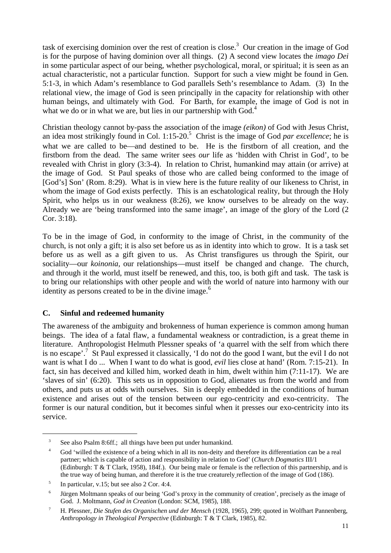task of exercising dominion over the rest of creation is close.<sup>3</sup> Our creation in the image of God is for the purpose of having dominion over all things. (2) A second view locates the *imago Dei* in some particular aspect of our being, whether psychological, moral, or spiritual; it is seen as an actual characteristic, not a particular function. Support for such a view might be found in Gen*.* 5:1-3, in which Adam's resemblance to God parallels Seth's resemblance to Adam. (3) In the relational view, the image of God is seen principally in the capacity for relationship with other human beings, and ultimately with God. For Barth, for example, the image of God is not in what we do or in what we are, but lies in our partnership with God.<sup>4</sup>

Christian theology cannot by-pass the association of the image *(eikon)* of God with Jesus Christ, an idea most strikingly found in Col. 1:15-20.<sup>5</sup> Christ is the image of God *par excellence*; he is what we are called to be—and destined to be. He is the firstborn of all creation, and the firstborn from the dead. The same writer sees *our* life as 'hidden with Christ in God', to be revealed with Christ in glory (3:3-4). In relation to Christ, humankind may attain (or arrive) at the image of God. St Paul speaks of those who are called being conformed to the image of [God's] Son' (Rom. 8:29). What is in view here is the future reality of our likeness to Christ, in whom the image of God exists perfectly. This is an eschatological reality, but through the Holy Spirit, who helps us in our weakness  $(8:26)$ , we know ourselves to be already on the way. Already we are 'being transformed into the same image', an image of the glory of the Lord (2 Cor. 3:18).

To be in the image of God, in conformity to the image of Christ, in the community of the church, is not only a gift; it is also set before us as in identity into which to grow. It is a task set before us as well as a gift given to us. As Christ transfigures us through the Spirit, our sociality—our *koinonia,* our relationships—must itself be changed and change. The church, and through it the world, must itself be renewed, and this, too, is both gift and task. The task is to bring our relationships with other people and with the world of nature into harmony with our identity as persons created to be in the divine image. $<sup>6</sup>$  $<sup>6</sup>$  $<sup>6</sup>$ </sup>

### **C. Sinful and redeemed humanity**

The awareness of the ambiguity and brokenness of human experience is common among human beings. The idea of a fatal flaw, a fundamental weakness or contradiction, is a great theme in literature. Anthropologist Helmuth Plessner speaks of 'a quarrel with the self from which there is no escape'[.7](#page-10-4) St Paul expressed it classically, 'I do not do the good I want, but the evil I do not want is what I do ... When I want to do what is good, *evil* lies close at hand' (Rom. 7:15-21). In fact, sin has deceived and killed him, worked death in him, dwelt within him (7:11-17). We are 'slaves of sin' (6:20). This sets us in opposition to God, alienates us from the world and from others, and puts us at odds with ourselves. Sin is deeply embedded in the conditions of human existence and arises out of the tension between our ego-centricity and exo-centricity. The former is our natural condition, but it becomes sinful when it presses our exo-centricity into its service.

<span id="page-10-0"></span><sup>&</sup>lt;sup>3</sup> See also Psalm 8:6ff.; all things have been put under humankind.

<span id="page-10-1"></span><sup>&</sup>lt;sup>4</sup> God 'willed the existence of a being which in all its non-deity and therefore its differentiation can be a real partner; which is capable of action and responsibility in relation to God' (*Church Dogmatics* III/1 (Edinburgh: T & T Clark, 1958), 184f.). Our being male or female is the reflection of this partnership, and is the true way of being human, and therefore it is the true creaturely reflection of the image of God (186).

<span id="page-10-2"></span> $\frac{5}{10}$  In particular, v.15; but see also 2 Cor. 4:4.

<span id="page-10-3"></span><sup>6</sup> Jürgen Moltmann speaks of our being 'God's proxy in the community of creation', precisely as the image of God. J. Moltmann, *God in Creation* (London: SCM, 1985), 188.

<span id="page-10-4"></span><sup>7</sup> H. Plessner, *Die Stufen des Organischen und der Mensch* (1928, 1965), 299; quoted in Wolfhart Pannenberg, *Anthropology in Theological Perspective* (Edinburgh: T & T Clark, 1985), 82.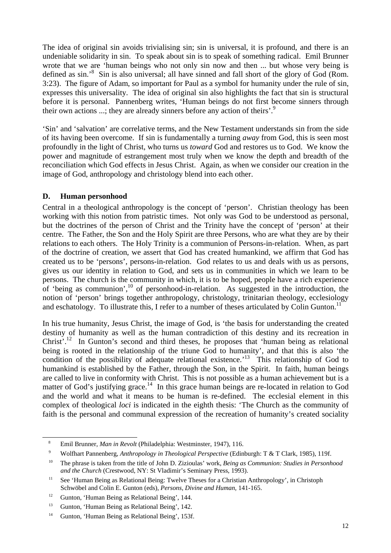The idea of original sin avoids trivialising sin; sin is universal, it is profound, and there is an undeniable solidarity in sin. To speak about sin is to speak of something radical. Emil Brunner wrote that we are 'human beings who not only sin now and then ... but whose very being is defined as sin.<sup>8</sup> Sin is also universal; all have sinned and fall short of the glory of God (Rom. 3:23). The figure of Adam, so important for Paul as a symbol for humanity under the rule of sin, expresses this universality. The idea of original sin also highlights the fact that sin is structural before it is personal. Pannenberg writes, 'Human beings do not first become sinners through their own actions ...; they are already sinners before any action of theirs'.<sup>[9](#page-11-1)</sup>

'Sin' and 'salvation' are correlative terms, and the New Testament understands sin from the side of its having been overcome. If sin is fundamentally a turning *away* from God, this is seen most profoundly in the light of Christ, who turns us *toward* God and restores us to God. We know the power and magnitude of estrangement most truly when we know the depth and breadth of the reconciliation which God effects in Jesus Christ. Again, as when we consider our creation in the image of God, anthropology and christology blend into each other.

### **D. Human personhood**

Central in a theological anthropology is the concept of 'person'. Christian theology has been working with this notion from patristic times. Not only was God to be understood as personal, but the doctrines of the person of Christ and the Trinity have the concept of 'person' at their centre. The Father, the Son and the Holy Spirit are three Persons, who are what they are by their relations to each others. The Holy Trinity is a communion of Persons-in-relation. When, as part of the doctrine of creation, we assert that God has created humankind, we affirm that God has created us to be 'persons', persons-in-relation. God relates to us and deals with us as persons, gives us our identity in relation to God, and sets us in communities in which we learn to be persons. The church is the community in which, it is to be hoped, people have a rich experience of 'being as communion',[10](#page-11-2) of personhood-in-relation. As suggested in the introduction, the notion of 'person' brings together anthropology, christology, trinitarian theology, ecclesiology and eschatology. To illustrate this, I refer to a number of theses articulated by Colin Gunton.<sup>[11](#page-11-3)</sup>

In his true humanity, Jesus Christ, the image of God, is 'the basis for understanding the created destiny of humanity as well as the human contradiction of this destiny and its recreation in Christ'.<sup>12</sup> In Gunton's second and third theses, he proposes that 'human being as relational being is rooted in the relationship of the triune God to humanity', and that this is also 'the condition of the possibility of adequate relational existence.<sup>13</sup> This relationship of God to humankind is established by the Father, through the Son, in the Spirit. In faith, human beings are called to live in conformity with Christ. This is not possible as a human achievement but is a matter of God's justifying grace.<sup>14</sup> In this grace human beings are re-located in relation to God and the world and what it means to be human is re-defined. The ecclesial element in this complex of theological *loci* is indicated in the eighth thesis: 'The Church as the community of faith is the personal and communal expression of the recreation of humanity's created sociality

<span id="page-11-0"></span> <sup>8</sup> Emil Brunner, *Man in Revolt* (Philadelphia: Westminster, 1947), 116.

<span id="page-11-1"></span><sup>9</sup> Wolfhart Pannenberg, *Anthropology in Theological Perspective* (Edinburgh: T & T Clark, 1985), 119f.

<span id="page-11-2"></span><sup>10</sup> The phrase is taken from the title of John D. Zizioulas' work, *Being as Communion: Studies in Personhood and the Church* (Crestwood, NY: St Vladimir's Seminary Press, 1993).

<span id="page-11-3"></span><sup>&</sup>lt;sup>11</sup> See 'Human Being as Relational Being: Twelve Theses for a Christian Anthropology', in Christoph Schwöbel and Colin E. Gunton (eds), *Persons, Divine and Human,* 141-165.

<span id="page-11-4"></span><sup>&</sup>lt;sup>12</sup> Gunton, 'Human Being as Relational Being', 144.

<span id="page-11-5"></span><sup>&</sup>lt;sup>13</sup> Gunton, 'Human Being as Relational Being', 142.

<span id="page-11-6"></span><sup>&</sup>lt;sup>14</sup> Gunton, 'Human Being as Relational Being', 153f.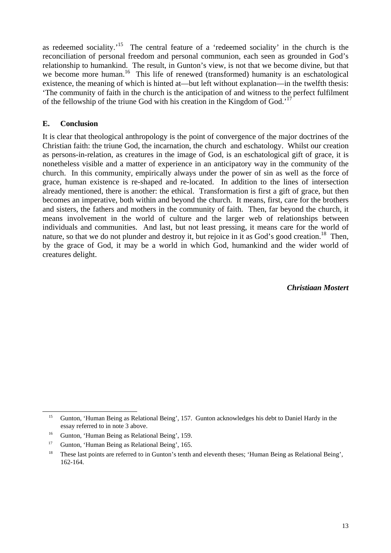as redeemed sociality.<sup>15</sup> The central feature of a 'redeemed sociality' in the church is the reconciliation of personal freedom and personal communion, each seen as grounded in God's relationship to humankind. The result, in Gunton's view, is not that we become divine, but that we become more human.<sup>16</sup> This life of renewed (transformed) humanity is an eschatological existence, the meaning of which is hinted at—but left without explanation—in the twelfth thesis: 'The community of faith in the church is the anticipation of and witness to the perfect fulfilment of the fellowship of the triune God with his creation in the Kingdom of God.<sup>17</sup>

### **E. Conclusion**

It is clear that theological anthropology is the point of convergence of the major doctrines of the Christian faith: the triune God, the incarnation, the church and eschatology. Whilst our creation as persons-in-relation, as creatures in the image of God, is an eschatological gift of grace, it is nonetheless visible and a matter of experience in an anticipatory way in the community of the church. In this community, empirically always under the power of sin as well as the force of grace, human existence is re-shaped and re-located. In addition to the lines of intersection already mentioned, there is another: the ethical. Transformation is first a gift of grace, but then becomes an imperative, both within and beyond the church. It means, first, care for the brothers and sisters, the fathers and mothers in the community of faith. Then, far beyond the church, it means involvement in the world of culture and the larger web of relationships between individuals and communities. And last, but not least pressing, it means care for the world of nature, so that we do not plunder and destroy it, but rejoice in it as God's good creation.<sup>18</sup> Then, by the grace of God, it may be a world in which God, humankind and the wider world of creatures delight.

*Christiaan Mostert*

<span id="page-12-0"></span><sup>&</sup>lt;sup>15</sup> Gunton, 'Human Being as Relational Being', 157. Gunton acknowledges his debt to Daniel Hardy in the essay referred to in note 3 above.

<span id="page-12-1"></span><sup>&</sup>lt;sup>16</sup> Gunton, 'Human Being as Relational Being', 159.

<span id="page-12-2"></span><sup>&</sup>lt;sup>17</sup> Gunton, 'Human Being as Relational Being', 165.

<span id="page-12-3"></span><sup>&</sup>lt;sup>18</sup> These last points are referred to in Gunton's tenth and eleventh theses; 'Human Being as Relational Being', 162-164.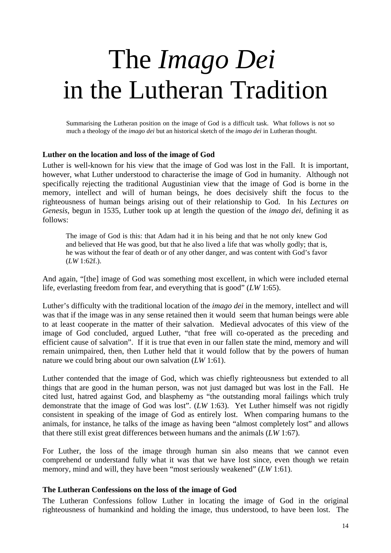# The *Imago Dei* in the Lutheran Tradition

Summarising the Lutheran position on the image of God is a difficult task. What follows is not so much a theology of the *imago dei* but an historical sketch of the *imago dei* in Lutheran thought.

#### **Luther on the location and loss of the image of God**

Luther is well-known for his view that the image of God was lost in the Fall. It is important, however, what Luther understood to characterise the image of God in humanity. Although not specifically rejecting the traditional Augustinian view that the image of God is borne in the memory, intellect and will of human beings, he does decisively shift the focus to the righteousness of human beings arising out of their relationship to God. In his *Lectures on Genesis*, begun in 1535, Luther took up at length the question of the *imago dei*, defining it as follows:

The image of God is this: that Adam had it in his being and that he not only knew God and believed that He was good, but that he also lived a life that was wholly godly; that is, he was without the fear of death or of any other danger, and was content with God's favor (*LW* 1:62f.).

And again, "[the] image of God was something most excellent, in which were included eternal life, everlasting freedom from fear, and everything that is good" (*LW* 1:65).

Luther's difficulty with the traditional location of the *imago dei* in the memory, intellect and will was that if the image was in any sense retained then it would seem that human beings were able to at least cooperate in the matter of their salvation. Medieval advocates of this view of the image of God concluded, argued Luther, "that free will co-operated as the preceding and efficient cause of salvation". If it is true that even in our fallen state the mind, memory and will remain unimpaired, then, then Luther held that it would follow that by the powers of human nature we could bring about our own salvation (*LW* 1:61).

Luther contended that the image of God, which was chiefly righteousness but extended to all things that are good in the human person, was not just damaged but was lost in the Fall. He cited lust, hatred against God, and blasphemy as "the outstanding moral failings which truly demonstrate that the image of God was lost". (*LW* 1:63). Yet Luther himself was not rigidly consistent in speaking of the image of God as entirely lost. When comparing humans to the animals, for instance, he talks of the image as having been "almost completely lost" and allows that there still exist great differences between humans and the animals (*LW* 1:67).

For Luther, the loss of the image through human sin also means that we cannot even comprehend or understand fully what it was that we have lost since, even though we retain memory, mind and will, they have been "most seriously weakened" (*LW* 1:61).

#### **The Lutheran Confessions on the loss of the image of God**

The Lutheran Confessions follow Luther in locating the image of God in the original righteousness of humankind and holding the image, thus understood, to have been lost. The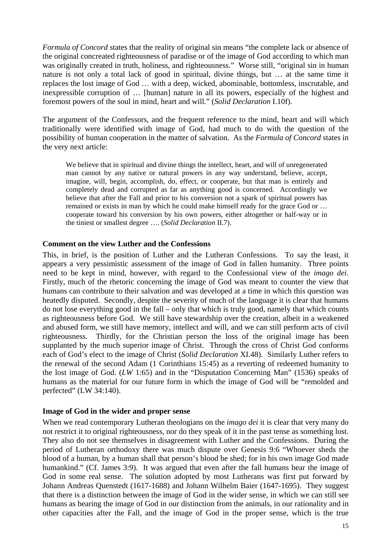*Formula of Concord* states that the reality of original sin means "the complete lack or absence of the original concreated righteousness of paradise or of the image of God according to which man was originally created in truth, holiness, and righteousness." Worse still, "original sin in human nature is not only a total lack of good in spiritual, divine things, but … at the same time it replaces the lost image of God … with a deep, wicked, abominable, bottomless, inscrutable, and inexpressible corruption of … [human] nature in all its powers, especially of the highest and foremost powers of the soul in mind, heart and will." (*Solid Declaration* I.10f).

The argument of the Confessors, and the frequent reference to the mind, heart and will which traditionally were identified with image of God, had much to do with the question of the possibility of human cooperation in the matter of salvation. As the *Formula of Concord* states in the very next article:

We believe that in spiritual and divine things the intellect, heart, and will of unregenerated man cannot by any native or natural powers in any way understand, believe, accept, imagine, will, begin, accomplish, do, effect, or cooperate, but that man is entirely and completely dead and corrupted as far as anything good is concerned. Accordingly we believe that after the Fall and prior to his conversion not a spark of spiritual powers has remained or exists in man by which he could make himself ready for the grace God or … cooperate toward his conversion by his own powers, either altogether or half-way or in the tiniest or smallest degree …. (*Solid Declaration* II.7).

### **Comment on the view Luther and the Confessions**

This, in brief, is the position of Luther and the Lutheran Confessions. To say the least, it appears a very pessimistic assessment of the image of God in fallen humanity. Three points need to be kept in mind, however, with regard to the Confessional view of the *imago dei*. Firstly, much of the rhetoric concerning the image of God was meant to counter the view that humans can contribute to their salvation and was developed at a time in which this question was heatedly disputed. Secondly, despite the severity of much of the language it is clear that humans do not lose everything good in the fall – only that which is truly good, namely that which counts as righteousness before God. We still have stewardship over the creation, albeit in a weakened and abused form, we still have memory, intellect and will, and we can still perform acts of civil righteousness. Thirdly, for the Christian person the loss of the original image has been supplanted by the much superior image of Christ. Through the cross of Christ God conforms each of God's elect to the image of Christ (*Solid Declaration* XI.48). Similarly Luther refers to the renewal of the second Adam (1 Corinthians 15:45) as a reverting of redeemed humanity to the lost image of God. (*LW* 1:65) and in the "Disputation Concerning Man" (1536) speaks of humans as the material for our future form in which the image of God will be "remolded and perfected" (LW 34:140).

#### **Image of God in the wider and proper sense**

When we read contemporary Lutheran theologians on the *imago dei* it is clear that very many do not restrict it to original righteousness, nor do they speak of it in the past tense as something lost. They also do not see themselves in disagreement with Luther and the Confessions. During the period of Lutheran orthodoxy there was much dispute over Genesis 9:6 "Whoever sheds the blood of a human, by a human shall that person's blood be shed; for in his own image God made humankind." (Cf. James 3:9). It was argued that even after the fall humans bear the image of God in some real sense. The solution adopted by most Lutherans was first put forward by Johann Andreas Quenstedt (1617-1688) and Johann Wilhelm Baier (1647-1695). They suggest that there is a distinction between the image of God in the wider sense, in which we can still see humans as bearing the image of God in our distinction from the animals, in our rationality and in other capacities after the Fall, and the image of God in the proper sense, which is the true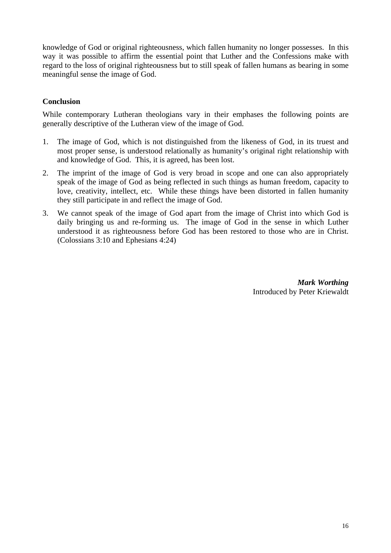knowledge of God or original righteousness, which fallen humanity no longer possesses. In this way it was possible to affirm the essential point that Luther and the Confessions make with regard to the loss of original righteousness but to still speak of fallen humans as bearing in some meaningful sense the image of God.

### **Conclusion**

While contemporary Lutheran theologians vary in their emphases the following points are generally descriptive of the Lutheran view of the image of God.

- 1. The image of God, which is not distinguished from the likeness of God, in its truest and most proper sense, is understood relationally as humanity's original right relationship with and knowledge of God. This, it is agreed, has been lost.
- 2. The imprint of the image of God is very broad in scope and one can also appropriately speak of the image of God as being reflected in such things as human freedom, capacity to love, creativity, intellect, etc. While these things have been distorted in fallen humanity they still participate in and reflect the image of God.
- 3. We cannot speak of the image of God apart from the image of Christ into which God is daily bringing us and re-forming us. The image of God in the sense in which Luther understood it as righteousness before God has been restored to those who are in Christ. (Colossians 3:10 and Ephesians 4:24)

*Mark Worthing* Introduced by Peter Kriewaldt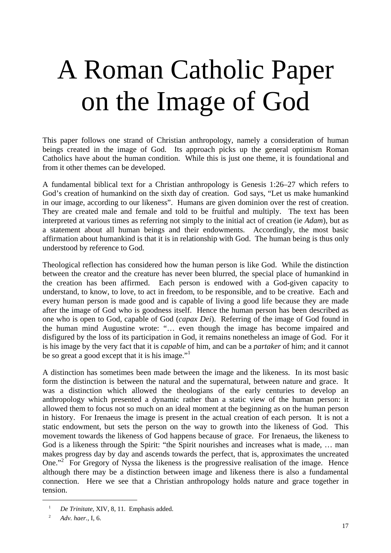# A Roman Catholic Paper on the Image of God

This paper follows one strand of Christian anthropology, namely a consideration of human beings created in the image of God. Its approach picks up the general optimism Roman Catholics have about the human condition. While this is just one theme, it is foundational and from it other themes can be developed.

A fundamental biblical text for a Christian anthropology is Genesis 1:26–27 which refers to God's creation of humankind on the sixth day of creation. God says, "Let us make humankind in our image, according to our likeness". Humans are given dominion over the rest of creation. They are created male and female and told to be fruitful and multiply. The text has been interpreted at various times as referring not simply to the initial act of creation (ie *Adam*), but as a statement about all human beings and their endowments. Accordingly, the most basic affirmation about humankind is that it is in relationship with God. The human being is thus only understood by reference to God.

Theological reflection has considered how the human person is like God. While the distinction between the creator and the creature has never been blurred, the special place of humankind in the creation has been affirmed. Each person is endowed with a God-given capacity to understand, to know, to love, to act in freedom, to be responsible, and to be creative. Each and every human person is made good and is capable of living a good life because they are made after the image of God who is goodness itself. Hence the human person has been described as one who is open to God, capable of God (*capax Dei*). Referring of the image of God found in the human mind Augustine wrote: "… even though the image has become impaired and disfigured by the loss of its participation in God, it remains nonetheless an image of God. For it is his image by the very fact that it is *capable* of him, and can be a *partaker* of him; and it cannot be so great a good except that it is his image. $"$ 

A distinction has sometimes been made between the image and the likeness. In its most basic form the distinction is between the natural and the supernatural, between nature and grace. It was a distinction which allowed the theologians of the early centuries to develop an anthropology which presented a dynamic rather than a static view of the human person: it allowed them to focus not so much on an ideal moment at the beginning as on the human person in history. For Irenaeus the image is present in the actual creation of each person. It is not a static endowment, but sets the person on the way to growth into the likeness of God. This movement towards the likeness of God happens because of grace. For Irenaeus, the likeness to God is a likeness through the Spirit: "the Spirit nourishes and increases what is made, ... man makes progress day by day and ascends towards the perfect, that is, approximates the uncreated One."<sup>2</sup>For Gregory of Nyssa the likeness is the progressive realisation of the image. Hence although there may be a distinction between image and likeness there is also a fundamental connection. Here we see that a Christian anthropology holds nature and grace together in tension.

<span id="page-16-0"></span><sup>&</sup>lt;sup>1</sup> *De Trinitate*, XIV, 8, 11. Emphasis added.

<span id="page-16-1"></span><sup>2</sup> *Adv. haer.,* I, 6.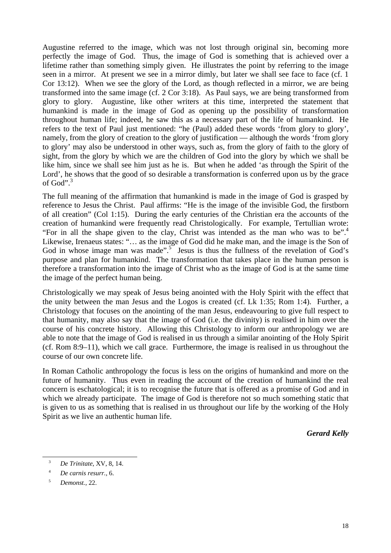Augustine referred to the image, which was not lost through original sin, becoming more perfectly the image of God. Thus, the image of God is something that is achieved over a lifetime rather than something simply given. He illustrates the point by referring to the image seen in a mirror. At present we see in a mirror dimly, but later we shall see face to face (cf. 1 Cor 13:12). When we see the glory of the Lord, as though reflected in a mirror, we are being transformed into the same image (cf. 2 Cor 3:18). As Paul says, we are being transformed from glory to glory. Augustine, like other writers at this time, interpreted the statement that humankind is made in the image of God as opening up the possibility of transformation throughout human life; indeed, he saw this as a necessary part of the life of humankind. He refers to the text of Paul just mentioned: "he (Paul) added these words 'from glory to glory', namely, from the glory of creation to the glory of justification — although the words 'from glory to glory' may also be understood in other ways, such as, from the glory of faith to the glory of sight, from the glory by which we are the children of God into the glory by which we shall be like him, since we shall see him just as he is. But when he added 'as through the Spirit of the Lord', he shows that the good of so desirable a transformation is conferred upon us by the grace of God".[3](#page-17-0)

The full meaning of the affirmation that humankind is made in the image of God is grasped by reference to Jesus the Christ. Paul affirms: "He is the image of the invisible God, the firstborn of all creation" (Col 1:15). During the early centuries of the Christian era the accounts of the creation of humankind were frequently read Christologically. For example, Tertullian wrote: "For in all the shape given to the clay, Christ was intended as the man who was to be".<sup>4</sup> Likewise, Irenaeus states: "… as the image of God did he make man, and the image is the Son of God in whose image man was made".<sup>5</sup> Jesus is thus the fullness of the revelation of God's purpose and plan for humankind. The transformation that takes place in the human person is therefore a transformation into the image of Christ who as the image of God is at the same time the image of the perfect human being.

Christologically we may speak of Jesus being anointed with the Holy Spirit with the effect that the unity between the man Jesus and the Logos is created (cf. Lk 1:35; Rom 1:4). Further, a Christology that focuses on the anointing of the man Jesus, endeavouring to give full respect to that humanity, may also say that the image of God (i.e. the divinity) is realised in him over the course of his concrete history. Allowing this Christology to inform our anthropology we are able to note that the image of God is realised in us through a similar anointing of the Holy Spirit (cf. Rom 8:9–11), which we call grace. Furthermore, the image is realised in us throughout the course of our own concrete life.

In Roman Catholic anthropology the focus is less on the origins of humankind and more on the future of humanity. Thus even in reading the account of the creation of humankind the real concern is eschatological; it is to recognise the future that is offered as a promise of God and in which we already participate. The image of God is therefore not so much something static that is given to us as something that is realised in us throughout our life by the working of the Holy Spirit as we live an authentic human life.

*Gerard Kelly*

<span id="page-17-0"></span> <sup>3</sup> *De Trinitate*, XV, 8, 14.

<span id="page-17-1"></span><sup>4</sup> *De carnis resurr.*, 6.

<span id="page-17-2"></span><sup>5</sup> *Demonst.,* 22.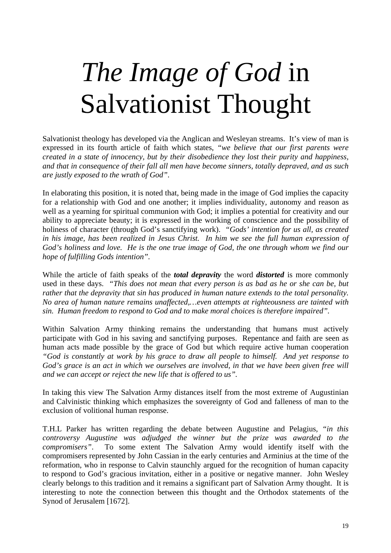# *The Image of God* in Salvationist Thought

Salvationist theology has developed via the Anglican and Wesleyan streams. It's view of man is expressed in its fourth article of faith which states, *"we believe that our first parents were created in a state of innocency, but by their disobedience they lost their purity and happiness, and that in consequence of their fall all men have become sinners, totally depraved, and as such are justly exposed to the wrath of God"*.

In elaborating this position, it is noted that, being made in the image of God implies the capacity for a relationship with God and one another; it implies individuality, autonomy and reason as well as a yearning for spiritual communion with God; it implies a potential for creativity and our ability to appreciate beauty; it is expressed in the working of conscience and the possibility of holiness of character (through God's sanctifying work). *"Gods' intention for us all, as created in his image, has been realized in Jesus Christ. In him we see the full human expression of God's holiness and love. He is the one true image of God, the one through whom we find our hope of fulfilling Gods intention".*

While the article of faith speaks of the *total depravity* the word *distorted* is more commonly used in these days. *"This does not mean that every person is as bad as he or she can be, but rather that the depravity that sin has produced in human nature extends to the total personality. No area of human nature remains unaffected,…even attempts at righteousness are tainted with sin. Human freedom to respond to God and to make moral choices is therefore impaired".*

Within Salvation Army thinking remains the understanding that humans must actively participate with God in his saving and sanctifying purposes. Repentance and faith are seen as human acts made possible by the grace of God but which require active human cooperation *"God is constantly at work by his grace to draw all people to himself. And yet response to* God's grace is an act in which we ourselves are involved, in that we have been given free will *and we can accept or reject the new life that is offered to us".*

In taking this view The Salvation Army distances itself from the most extreme of Augustinian and Calvinistic thinking which emphasizes the sovereignty of God and falleness of man to the exclusion of volitional human response.

T.H.L Parker has written regarding the debate between Augustine and Pelagius*, "in this controversy Augustine was adjudged the winner but the prize was awarded to the compromisers"*. To some extent The Salvation Army would identify itself with the compromisers represented by John Cassian in the early centuries and Arminius at the time of the reformation, who in response to Calvin staunchly argued for the recognition of human capacity to respond to God's gracious invitation, either in a positive or negative manner. John Wesley clearly belongs to this tradition and it remains a significant part of Salvation Army thought. It is interesting to note the connection between this thought and the Orthodox statements of the Synod of Jerusalem [1672].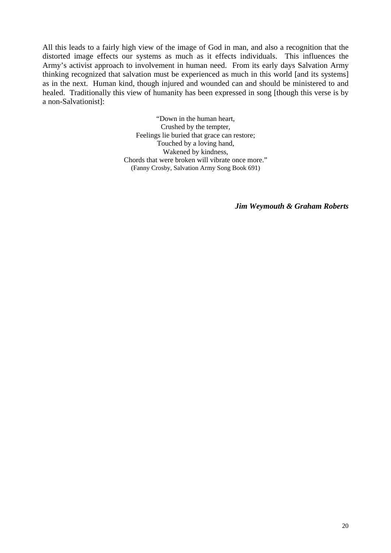All this leads to a fairly high view of the image of God in man, and also a recognition that the distorted image effects our systems as much as it effects individuals. This influences the Army's activist approach to involvement in human need. From its early days Salvation Army thinking recognized that salvation must be experienced as much in this world [and its systems] as in the next. Human kind, though injured and wounded can and should be ministered to and healed. Traditionally this view of humanity has been expressed in song [though this verse is by a non-Salvationist]:

> "Down in the human heart, Crushed by the tempter, Feelings lie buried that grace can restore; Touched by a loving hand, Wakened by kindness, Chords that were broken will vibrate once more." (Fanny Crosby, Salvation Army Song Book 691)

> > *Jim Weymouth & Graham Roberts*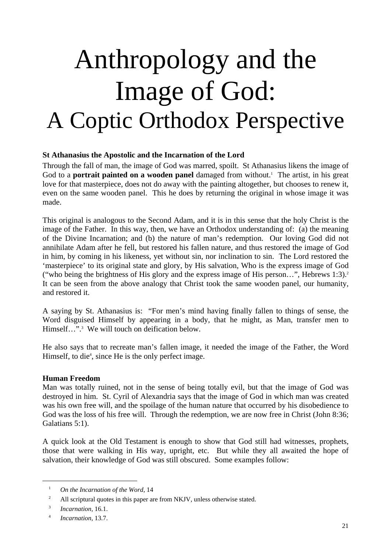# Anthropology and the Image of God: A Coptic Orthodox Perspective

### **St Athanasius the Apostolic and the Incarnation of the Lord**

Through the fall of man, the image of God was marred, spoilt. St Athanasius likens the image of Godto a **portrait painted on a wooden panel** damaged from without.<sup>1</sup> The artist, in his great love for that masterpiece, does not do away with the painting altogether, but chooses to renew it, even on the same wooden panel. This he does by returning the original in whose image it was made.

This original is analogous to the Second Adam, and it is in this sense that the holy Christ is the image of the Father. In this way, then, we have an Orthodox understanding of: (a) the meaning of the Divine Incarnation; and (b) the nature of man's redemption. Our loving God did not annihilate Adam after he fell, but restored his fallen nature, and thus restored the image of God in him, by coming in his likeness, yet without sin, nor inclination to sin. The Lord restored the 'masterpiece' to its original state and glory, by His salvation, Who is the express image of God ("who being the brightness of His glory and the express image of His person...", Hebrews 1:3).<sup>2</sup> It can be seen from the above analogy that Christ took the same wooden panel, our humanity, and restored it.

A saying by St. Athanasius is: "For men's mind having finally fallen to things of sense, the Word disguised Himself by appearing in a body, that he might, as Man, transfer men to Himself...".<sup>[3](#page-20-2)</sup> We will touch on deification below.

He also says that to recreate man's fallen image, it needed the image of the Father, the Word Himself[,](#page-20-3) to die<sup>4</sup>, since He is the only perfect image.

### **Human Freedom**

Man was totally ruined, not in the sense of being totally evil, but that the image of God was destroyed in him. St. Cyril of Alexandria says that the image of God in which man was created was his own free will, and the spoilage of the human nature that occurred by his disobedience to God was the loss of his free will. Through the redemption, we are now free in Christ (John 8:36; Galatians 5:1).

A quick look at the Old Testament is enough to show that God still had witnesses, prophets, those that were walking in His way, upright, etc. But while they all awaited the hope of salvation, their knowledge of God was still obscured. Some examples follow:

<span id="page-20-0"></span><sup>1</sup> *On the Incarnation of the Word*, 14

<span id="page-20-1"></span><sup>&</sup>lt;sup>2</sup> All scriptural quotes in this paper are from NKJV, unless otherwise stated.

<span id="page-20-2"></span><sup>3</sup> *Incarnation*, 16.1.

<span id="page-20-3"></span><sup>4</sup> *Incarnation*, 13.7.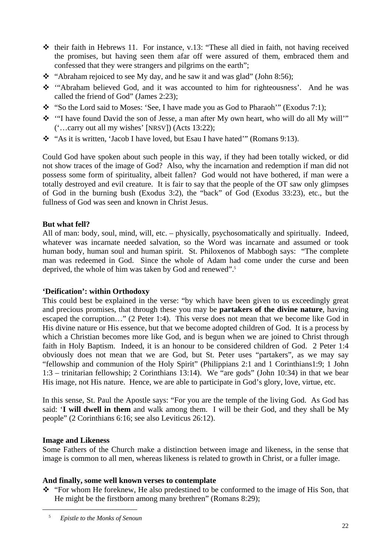- $\triangle$  their faith in Hebrews 11. For instance, v.13: "These all died in faith, not having received the promises, but having seen them afar off were assured of them, embraced them and confessed that they were strangers and pilgrims on the earth";
- $\cdot$  "Abraham rejoiced to see My day, and he saw it and was glad" (John 8:56);
- \* "Abraham believed God, and it was accounted to him for righteousness'. And he was called the friend of God" (James 2:23);
- \* "So the Lord said to Moses: 'See, I have made you as God to Pharaoh'" (Exodus 7:1);
- \* "I have found David the son of Jesse, a man after My own heart, who will do all My will'" ('…carry out all my wishes' [NRSV]) (Acts 13:22);
- $\cdot$  "As it is written, 'Jacob I have loved, but Esau I have hated'" (Romans 9:13).

Could God have spoken about such people in this way, if they had been totally wicked, or did not show traces of the image of God? Also, why the incarnation and redemption if man did not possess some form of spirituality, albeit fallen? God would not have bothered, if man were a totally destroyed and evil creature. It is fair to say that the people of the OT saw only glimpses of God in the burning bush (Exodus 3:2), the "back" of God (Exodus 33:23), etc., but the fullness of God was seen and known in Christ Jesus.

### **But what fell?**

All of man: body, soul, mind, will, etc. – physically, psychosomatically and spiritually. Indeed, whatever was incarnate needed salvation, so the Word was incarnate and assumed or took human body, human soul and human spirit. St. Philoxenos of Mabbogh says: "The complete man was redeemed in God. Since the whole of Adam had come under the curse and been deprived, the whole of him was taken by God and renewed".<sup>5</sup>

### **'Deification': within Orthodoxy**

This could best be explained in the verse: "by which have been given to us exceedingly great and precious promises, that through these you may be **partakers of the divine nature**, having escaped the corruption…" (2 Peter 1:4). This verse does not mean that we become like God in His divine nature or His essence, but that we become adopted children of God. It is a process by which a Christian becomes more like God, and is begun when we are joined to Christ through faith in Holy Baptism. Indeed, it is an honour to be considered children of God. 2 Peter 1:4 obviously does not mean that we are God, but St. Peter uses "partakers", as we may say "fellowship and communion of the Holy Spirit" (Philippians 2:1 and 1 Corinthians1:9; 1 John 1:3 – trinitarian fellowship; 2 Corinthians 13:14). We "are gods" (John 10:34) in that we bear His image, not His nature. Hence, we are able to participate in God's glory, love, virtue, etc.

In this sense, St. Paul the Apostle says: "For you are the temple of the living God. As God has said: '**I will dwell in them** and walk among them. I will be their God, and they shall be My people" (2 Corinthians 6:16; see also Leviticus 26:12).

### **Image and Likeness**

l

Some Fathers of the Church make a distinction between image and likeness, in the sense that image is common to all men, whereas likeness is related to growth in Christ, or a fuller image.

### **And finally, some well known verses to contemplate**

\* "For whom He foreknew, He also predestined to be conformed to the image of His Son, that He might be the firstborn among many brethren" (Romans 8:29);

<span id="page-21-0"></span><sup>5</sup> *Epistle to the Monks of Senoun*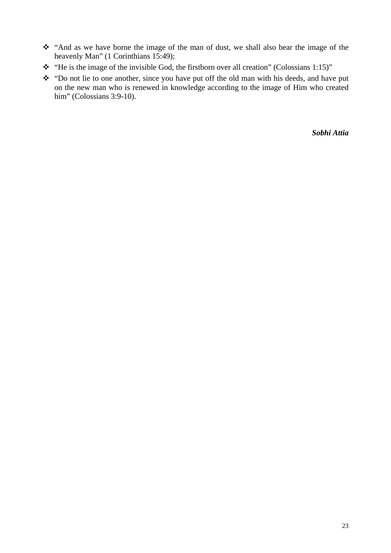- $\hat{\cdot}$  "And as we have borne the image of the man of dust, we shall also bear the image of the heavenly Man" (1 Corinthians 15:49);
- $\cdot \cdot$  "He is the image of the invisible God, the firstborn over all creation" (Colossians 1:15)"
- \* "Do not lie to one another, since you have put off the old man with his deeds, and have put on the new man who is renewed in knowledge according to the image of Him who created him" (Colossians 3:9-10).

*Sobhi Attia*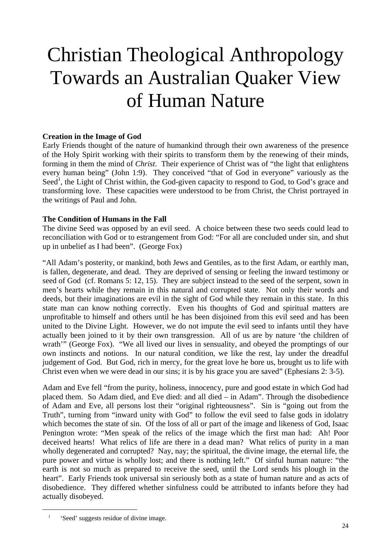### Christian Theological Anthropology Towards an Australian Quaker View of Human Nature

### **Creation in the Image of God**

Early Friends thought of the nature of humankind through their own awareness of the presence of the Holy Spirit working with their spirits to transform them by the renewing of their minds, forming in them the mind of *Christ*. Their experience of Christ was of "the light that enlightens every human being" (John 1:9). They conceived "that of God in everyone" variously as the Seed<sup>1</sup>, the Light of Christ within, the God-given capacity to respond to God, to God's grace and transforming love. These capacities were understood to be from Christ, the Christ portrayed in the writings of Paul and John.

### **The Condition of Humans in the Fall**

The divine Seed was opposed by an evil seed. A choice between these two seeds could lead to reconciliation with God or to estrangement from God: "For all are concluded under sin, and shut up in unbelief as I had been". (George Fox)

"All Adam's posterity, or mankind, both Jews and Gentiles, as to the first Adam, or earthly man, is fallen, degenerate, and dead. They are deprived of sensing or feeling the inward testimony or seed of God (cf. Romans 5: 12, 15). They are subject instead to the seed of the serpent, sown in men's hearts while they remain in this natural and corrupted state. Not only their words and deeds, but their imaginations are evil in the sight of God while they remain in this state. In this state man can know nothing correctly. Even his thoughts of God and spiritual matters are unprofitable to himself and others until he has been disjoined from this evil seed and has been united to the Divine Light. However, we do not impute the evil seed to infants until they have actually been joined to it by their own transgression. All of us are by nature 'the children of wrath'" (George Fox). "We all lived our lives in sensuality, and obeyed the promptings of our own instincts and notions. In our natural condition, we like the rest, lay under the dreadful judgement of God. But God, rich in mercy, for the great love he bore us, brought us to life with Christ even when we were dead in our sins; it is by his grace you are saved" (Ephesians 2: 3-5).

Adam and Eve fell "from the purity, holiness, innocency, pure and good estate in which God had placed them. So Adam died, and Eve died: and all died – in Adam". Through the disobedience of Adam and Eve, all persons lost their "original righteousness". Sin is "going out from the Truth", turning from "inward unity with God" to follow the evil seed to false gods in idolatry which becomes the state of sin. Of the loss of all or part of the image and likeness of God, Isaac Penington wrote: "Men speak of the relics of the image which the first man had: Ah! Poor deceived hearts! What relics of life are there in a dead man? What relics of purity in a man wholly degenerated and corrupted? Nay, nay; the spiritual, the divine image, the eternal life, the pure power and virtue is wholly lost; and there is nothing left." Of sinful human nature: "the earth is not so much as prepared to receive the seed, until the Lord sends his plough in the heart". Early Friends took universal sin seriously both as a state of human nature and as acts of disobedience. They differed whether sinfulness could be attributed to infants before they had actually disobeyed.

<span id="page-23-0"></span><sup>&</sup>lt;sup>1</sup> 'Seed' suggests residue of divine image.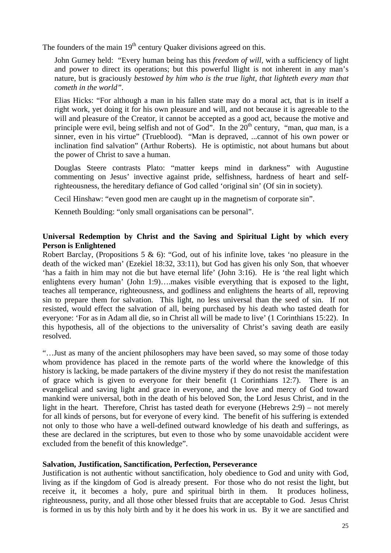The founders of the main  $19<sup>th</sup>$  century Quaker divisions agreed on this.

John Gurney held: "Every human being has this *freedom of will,* with a sufficiency of light and power to direct its operations; but this powerful llight is not inherent in any man's nature, but is graciously *bestowed by him who is the true light, that lighteth every man that cometh in the world".*

Elias Hicks: "For although a man in his fallen state may do a moral act, that is in itself a right work, yet doing it for his own pleasure and will, and not because it is agreeable to the will and pleasure of the Creator, it cannot be accepted as a good act, because the motive and principle were evil, being selfish and not of God". In the 20<sup>th</sup> century, "man, *qua* man, is a sinner, even in his virtue" (Trueblood). "Man is depraved, ...cannot of his own power or inclination find salvation" (Arthur Roberts). He is optimistic, not about humans but about the power of Christ to save a human.

Douglas Steere contrasts Plato: "matter keeps mind in darkness" with Augustine commenting on Jesus' invective against pride, selfishness, hardness of heart and selfrighteousness, the hereditary defiance of God called 'original sin' (Of sin in society).

Cecil Hinshaw: "even good men are caught up in the magnetism of corporate sin".

Kenneth Boulding: "only small organisations can be personal".

### **Universal Redemption by Christ and the Saving and Spiritual Light by which every Person is Enlightened**

Robert Barclay, (Propositions 5 & 6): "God, out of his infinite love, takes 'no pleasure in the death of the wicked man' (Ezekiel 18:32, 33:11), but God has given his only Son, that whoever 'has a faith in him may not die but have eternal life' (John 3:16). He is 'the real light which enlightens every human' (John 1:9)….makes visible everything that is exposed to the light, teaches all temperance, righteousness, and godliness and enlightens the hearts of all, reproving sin to prepare them for salvation. This light, no less universal than the seed of sin. If not resisted, would effect the salvation of all, being purchased by his death who tasted death for everyone: 'For as in Adam all die, so in Christ all will be made to live' (1 Corinthians 15:22). In this hypothesis, all of the objections to the universality of Christ's saving death are easily resolved.

"…Just as many of the ancient philosophers may have been saved, so may some of those today whom providence has placed in the remote parts of the world where the knowledge of this history is lacking, be made partakers of the divine mystery if they do not resist the manifestation of grace which is given to everyone for their benefit (1 Corinthians 12:7). There is an evangelical and saving light and grace in everyone, and the love and mercy of God toward mankind were universal, both in the death of his beloved Son, the Lord Jesus Christ, and in the light in the heart. Therefore, Christ has tasted death for everyone (Hebrews 2:9) – not merely for all kinds of persons, but for everyone of every kind. The benefit of his suffering is extended not only to those who have a well-defined outward knowledge of his death and sufferings, as these are declared in the scriptures, but even to those who by some unavoidable accident were excluded from the benefit of this knowledge".

#### **Salvation, Justification, Sanctification, Perfection, Perseverance**

Justification is not authentic without sanctification, holy obedience to God and unity with God, living as if the kingdom of God is already present. For those who do not resist the light, but receive it, it becomes a holy, pure and spiritual birth in them. It produces holiness, righteousness, purity, and all those other blessed fruits that are acceptable to God. Jesus Christ is formed in us by this holy birth and by it he does his work in us. By it we are sanctified and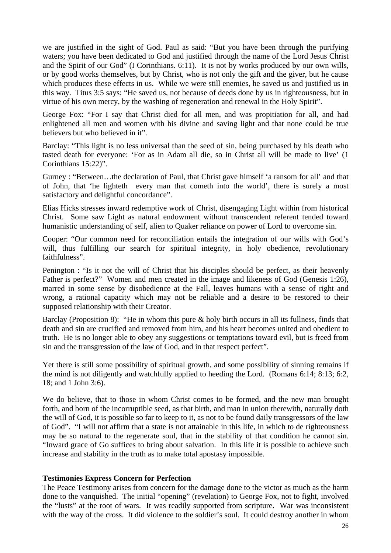we are justified in the sight of God. Paul as said: "But you have been through the purifying waters; you have been dedicated to God and justified through the name of the Lord Jesus Christ and the Spirit of our God" (I Corinthians. 6:11). It is not by works produced by our own wills, or by good works themselves, but by Christ, who is not only the gift and the giver, but he cause which produces these effects in us. While we were still enemies, he saved us and justified us in this way. Titus 3:5 says: "He saved us, not because of deeds done by us in righteousness, but in virtue of his own mercy, by the washing of regeneration and renewal in the Holy Spirit".

George Fox: "For I say that Christ died for all men, and was propitiation for all, and had enlightened all men and women with his divine and saving light and that none could be true believers but who believed in it".

Barclay: "This light is no less universal than the seed of sin, being purchased by his death who tasted death for everyone: 'For as in Adam all die, so in Christ all will be made to live' (1 Corinthians 15:22)".

Gurney : "Between…the declaration of Paul, that Christ gave himself 'a ransom for all' and that of John, that 'he lighteth every man that cometh into the world', there is surely a most satisfactory and delightful concordance".

Elias Hicks stresses inward redemptive work of Christ, disengaging Light within from historical Christ. Some saw Light as natural endowment without transcendent referent tended toward humanistic understanding of self, alien to Quaker reliance on power of Lord to overcome sin.

Cooper: "Our common need for reconciliation entails the integration of our wills with God's will, thus fulfilling our search for spiritual integrity, in holy obedience, revolutionary faithfulness".

Penington : "Is it not the will of Christ that his disciples should be perfect, as their heavenly Father is perfect?" Women and men created in the image and likeness of God (Genesis 1:26), marred in some sense by disobedience at the Fall, leaves humans with a sense of right and wrong, a rational capacity which may not be reliable and a desire to be restored to their supposed relationship with their Creator.

Barclay (Proposition 8): "He in whom this pure & holy birth occurs in all its fullness, finds that death and sin are crucified and removed from him, and his heart becomes united and obedient to truth. He is no longer able to obey any suggestions or temptations toward evil, but is freed from sin and the transgression of the law of God, and in that respect perfect".

Yet there is still some possibility of spiritual growth, and some possibility of sinning remains if the mind is not diligently and watchfully applied to heeding the Lord. (Romans 6:14; 8:13; 6:2, 18; and 1 John 3:6).

We do believe, that to those in whom Christ comes to be formed, and the new man brought forth, and born of the incorruptible seed, as that birth, and man in union therewith, naturally doth the will of God, it is possible so far to keep to it, as not to be found daily transgressors of the law of God". "I will not affirm that a state is not attainable in this life, in which to de righteousness may be so natural to the regenerate soul, that in the stability of that condition he cannot sin. "Inward grace of Go suffices to bring about salvation. In this life it is possible to achieve such increase and stability in the truth as to make total apostasy impossible.

#### **Testimonies Express Concern for Perfection**

The Peace Testimony arises from concern for the damage done to the victor as much as the harm done to the vanquished. The initial "opening" (revelation) to George Fox, not to fight, involved the "lusts" at the root of wars. It was readily supported from scripture. War was inconsistent with the way of the cross. It did violence to the soldier's soul. It could destroy another in whom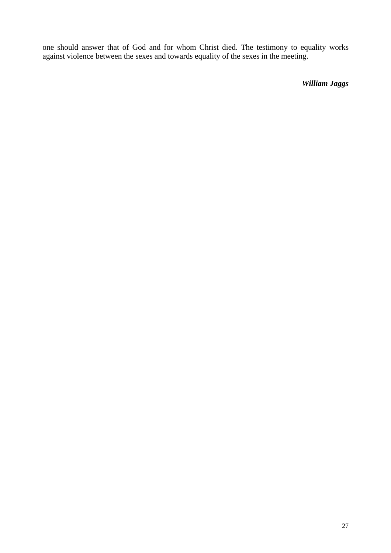one should answer that of God and for whom Christ died. The testimony to equality works against violence between the sexes and towards equality of the sexes in the meeting.

*William Jaggs*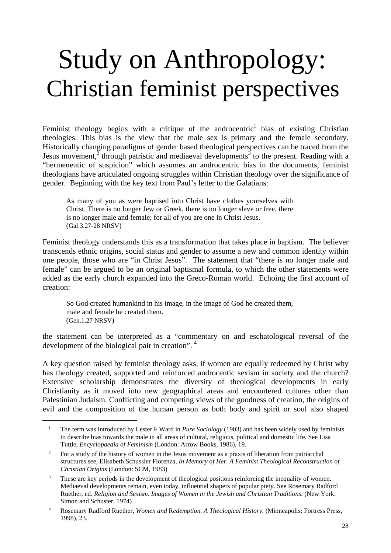### Study on Anthropology: Christian feminist perspectives

Feminist theology begins with a critique of the androcentric<sup>1</sup> bias of existing Christian theologies. This bias is the view that the male sex is primary and the female secondary. Historically changing paradigms of gender based theological perspectives can be traced from the Jesus movement, $\frac{3}{2}$  through patristic and mediaeval developments<sup>3</sup> to the present. Reading with a "hermeneutic of suspicion" which assumes an androcentric bias in the documents, feminist theologians have articulated ongoing struggles within Christian theology over the significance of gender. Beginning with the key text from Paul's letter to the Galatians:

As many of you as were baptised into Christ have clothes yourselves with Christ. There is no longer Jew or Greek, there is no longer slave or free, there is no longer male and female; for all of you are one in Christ Jesus. (Gal.3.27-28 NRSV)

Feminist theology understands this as a transformation that takes place in baptism. The believer transcends ethnic origins, social status and gender to assume a new and common identity within one people, those who are "in Christ Jesus". The statement that "there is no longer male and female" can be argued to be an original baptismal formula, to which the other statements were added as the early church expanded into the Greco-Roman world. Echoing the first account of creation:

So God created humankind in his image, in the image of God he created them, male and female he created them. (Gen.1.27 NRSV)

the statement can be interpreted as a "commentary on and eschatological reversal of the development of the biological pair in creation". <sup>[4](#page-27-3)</sup>

A key question raised by feminist theology asks, if women are equally redeemed by Christ why has theology created, supported and reinforced androcentic sexism in society and the church? Extensive scholarship demonstrates the diversity of theological developments in early Christianity as it moved into new geographical areas and encountered cultures other than Palestinian Judaism. Conflicting and competing views of the goodness of creation, the origins of evil and the composition of the human person as both body and spirit or soul also shaped

<span id="page-27-0"></span><sup>&</sup>lt;sup>1</sup> The term was introduced by Lester F Ward in *Pure Sociology* (1903) and has been widely used by feminists to describe bias towards the male in all areas of cultural, religious, political and domestic life. See Lisa Tuttle, *Encyclopaedia of Feminism* (London: Arrow Books, 1986), 19.

<span id="page-27-1"></span><sup>&</sup>lt;sup>2</sup> For a study of the history of women in the Jesus movement as a praxis of liberation from patriarchal structures see, Elisabeth Schussler Fiorenza*, In Memory of Her. A Feminist Theological Reconstruction of Christian Origins* (London: SCM, 1983)

<span id="page-27-2"></span><sup>&</sup>lt;sup>3</sup> These are key periods in the development of theological positions reinforcing the inequality of women. Mediaeval developments remain, even today, influential shapers of popular piety. See Rosemary Radford Ruether, ed. *Religion and Sexism. Images of Women in the Jewish and Christian Traditions*. (New York: Simon and Schuster, 1974)

<span id="page-27-3"></span><sup>4</sup> Rosemary Radford Ruether, *Women and* R*edemption. A Theological History.* (Minneapolis: Fortress Press, 1998), 23.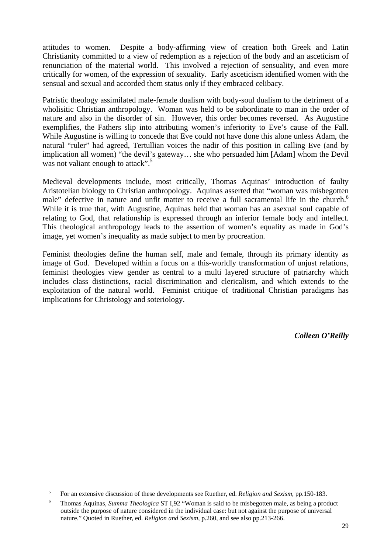attitudes to women. Despite a body-affirming view of creation both Greek and Latin Christianity committed to a view of redemption as a rejection of the body and an asceticism of renunciation of the material world. This involved a rejection of sensuality, and even more critically for women, of the expression of sexuality. Early asceticism identified women with the sensual and sexual and accorded them status only if they embraced celibacy.

Patristic theology assimilated male-female dualism with body-soul dualism to the detriment of a wholisitic Christian anthropology. Woman was held to be subordinate to man in the order of nature and also in the disorder of sin. However, this order becomes reversed. As Augustine exemplifies, the Fathers slip into attributing women's inferiority to Eve's cause of the Fall. While Augustine is willing to concede that Eve could not have done this alone unless Adam, the natural "ruler" had agreed, Tertullian voices the nadir of this position in calling Eve (and by implication all women) "the devil's gateway… she who persuaded him [Adam] whom the Devil was not valiant enough to attack".<sup>5</sup>

Medieval developments include, most critically, Thomas Aquinas' introduction of faulty Aristotelian biology to Christian anthropology. Aquinas asserted that "woman was misbegotten male" defective in nature and unfit matter to receive a full sacramental life in the church.<sup>6</sup> While it is true that, with Augustine, Aquinas held that woman has an asexual soul capable of relating to God, that relationship is expressed through an inferior female body and intellect. This theological anthropology leads to the assertion of women's equality as made in God's image, yet women's inequality as made subject to men by procreation.

Feminist theologies define the human self, male and female, through its primary identity as image of God. Developed within a focus on a this-worldly transformation of unjust relations, feminist theologies view gender as central to a multi layered structure of patriarchy which includes class distinctions, racial discrimination and clericalism, and which extends to the exploitation of the natural world. Feminist critique of traditional Christian paradigms has implications for Christology and soteriology.

*Colleen O'Reilly*

<span id="page-28-0"></span><sup>5</sup> For an extensive discussion of these developments see Ruether, ed. *Religion and Sexism,* pp.150-183.

<span id="page-28-1"></span><sup>6</sup> Thomas Aquinas, *Summa Theologica* ST I,92 "Woman is said to be misbegotten male, as being a product outside the purpose of nature considered in the individual case: but not against the purpose of universal nature." Quoted in Ruether, ed. *Religion and Sexism*, p.260, and see also pp.213-266.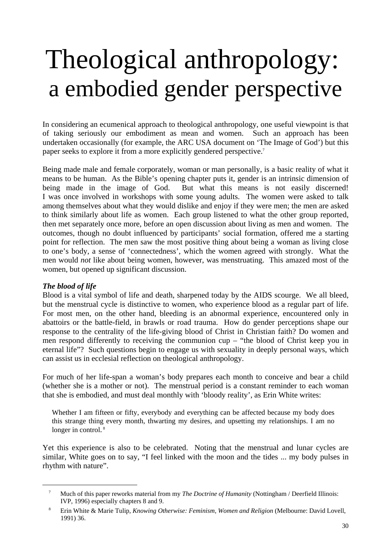### Theological anthropology: a embodied gender perspective

In considering an ecumenical approach to theological anthropology, one useful viewpoint is that of taking seriously our embodiment as mean and women. Such an approach has been undertaken occasionally (for example, the ARC USA document on 'The Image of God') but this paper seeks to explore it from a more explicitly gendered perspective.[7](#page-29-0)

Being made male and female corporately, woman or man personally, is a basic reality of what it means to be human. As the Bible's opening chapter puts it, gender is an intrinsic dimension of being made in the image of God. But what this means is not easily discerned! I was once involved in workshops with some young adults. The women were asked to talk among themselves about what they would dislike and enjoy if they were men; the men are asked to think similarly about life as women. Each group listened to what the other group reported, then met separately once more, before an open discussion about living as men and women. The outcomes, though no doubt influenced by participants' social formation, offered me a starting point for reflection. The men saw the most positive thing about being a woman as living close to one's body, a sense of 'connectedness', which the women agreed with strongly. What the men would *not* like about being women, however, was menstruating. This amazed most of the women, but opened up significant discussion.

### *The blood of life*

l

Blood is a vital symbol of life and death, sharpened today by the AIDS scourge. We all bleed, but the menstrual cycle is distinctive to women, who experience blood as a regular part of life. For most men, on the other hand, bleeding is an abnormal experience, encountered only in abattoirs or the battle-field, in brawls or road trauma. How do gender perceptions shape our response to the centrality of the life-giving blood of Christ in Christian faith? Do women and men respond differently to receiving the communion cup – "the blood of Christ keep you in eternal life"? Such questions begin to engage us with sexuality in deeply personal ways, which can assist us in ecclesial reflection on theological anthropology.

For much of her life-span a woman's body prepares each month to conceive and bear a child (whether she is a mother or not). The menstrual period is a constant reminder to each woman that she is embodied, and must deal monthly with 'bloody reality', as Erin White writes:

Whether I am fifteen or fifty, everybody and everything can be affected because my body does this strange thing every month, thwarting my desires, and upsetting my relationships. I am no longer in control.<sup>[8](#page-29-1)</sup>

Yet this experience is also to be celebrated. Noting that the menstrual and lunar cycles are similar, White goes on to say, "I feel linked with the moon and the tides ... my body pulses in rhythm with nature".

<span id="page-29-0"></span><sup>7</sup> Much of this paper reworks material from my *The Doctrine of Humanity* (Nottingham / Deerfield Illinois: IVP, 1996) especially chapters 8 and 9.

<span id="page-29-1"></span><sup>8</sup> Erin White & Marie Tulip, *Knowing Otherwise: Feminism, Women and Religion* (Melbourne: David Lovell, 1991) 36.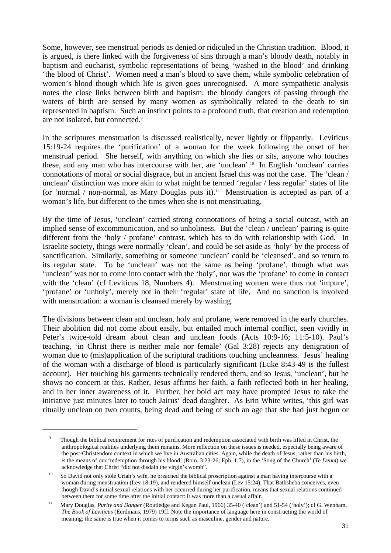Some, however, see menstrual periods as denied or ridiculed in the Christian tradition. Blood, it is argued, is there linked with the forgiveness of sins through a man's bloody death, notably in baptism and eucharist, symbolic representations of being 'washed in the blood' and drinking 'the blood of Christ'. Women need a man's blood to save them, while symbolic celebration of women's blood though which life is given goes unrecognised. A more sympathetic analysis notes the close links between birth and baptism: the bloody dangers of passing through the waters of birth are sensed by many women as symbolically related to the death to sin represented in baptism. Such an instinct points to a profound truth, that creation and redemption are not isolated, but connected[.9](#page-30-0)

In the scriptures menstruation is discussed realistically, never lightly or flippantly. Leviticus 15:19-24 requires the 'purification' of a woman for the week following the onset of her menstrual period. She herself, with anything on which she lies or sits, anyone who touches these, and any man who has intercourse with her, are 'unclean'[.10](#page-30-1) In English 'unclean' carries connotations of moral or social disgrace, but in ancient Israel this was not the case. The 'clean / unclean' distinction was more akin to what might be termed 'regular / less regular' states of life (or 'normal / non-normal, as Mary Douglas puts it).<sup>11</sup> Menstruation is accepted as part of a woman's life, but different to the times when she is not menstruating.

By the time of Jesus, 'unclean' carried strong connotations of being a social outcast, with an implied sense of excommunication, and so unholiness. But the 'clean / unclean' pairing is quite different from the 'holy / profane' contrast, which has to do with relationship with God. In Israelite society, things were normally 'clean', and could be set aside as 'holy' by the process of sanctification. Similarly, something or someone 'unclean' could be 'cleansed', and so return to its regular state. To be 'unclean' was not the same as being 'profane', though what was 'unclean' was not to come into contact with the 'holy', nor was the 'profane' to come in contact with the 'clean' (cf Leviticus 18, Numbers 4). Menstruating women were thus not 'impure', 'profane' or 'unholy', merely not in their 'regular' state of life. And no sanction is involved with menstruation: a woman is cleansed merely by washing.

The divisions between clean and unclean, holy and profane, were removed in the early churches. Their abolition did not come about easily, but entailed much internal conflict, seen vividly in Peter's twice-told dream about clean and unclean foods (Acts 10:9-16; 11:5-10). Paul's teaching, 'in Christ there is neither male nor female' (Gal 3:28) rejects any denigration of woman due to (mis)application of the scriptural traditions touching uncleanness. Jesus' healing of the woman with a discharge of blood is particularly significant (Luke 8:43-49 is the fullest account). Her touching his garments technically rendered them, and so Jesus, 'unclean', but he shows no concern at this. Rather, Jesus affirms her faith, a faith reflected both in her healing, and in her inner awareness of it. Further, her bold act may have prompted Jesus to take the initiative just minutes later to touch Jairus' dead daughter. As Erin White writes, 'this girl was ritually unclean on two counts, being dead and being of such an age that she had just begun or

<span id="page-30-0"></span><sup>&</sup>lt;sup>9</sup> Though the biblical requirement for rites of purification and redemption associated with birth was lifted in Christ, the anthropological realities underlying them remains. More reflection on these issues is needed, especially being aware of the post-Christendom context in which we live in Australian cities. Again, while the death of Jesus, rather than his birth, is the means of our 'redemption through his blood' (Rom. 3:23-26; Eph. 1:7), in the 'Song of the Church' (*Te Deum*) we acknowledge that Christ "did not disdain the virgin's womb".

<span id="page-30-1"></span><sup>&</sup>lt;sup>10</sup> So David not only stole Uriah's wife, he breached the biblical proscription against a man having intercourse with a woman during menstruation (Lev 18:19), and rendered himself unclean (Lev 15:24). That Bathsheba conceives, even though David's initial sexual relations with her occurred during her purification, means that sexual relations continued between them for some time after the initial contact: it was more than a casual affair.

<span id="page-30-2"></span><sup>11</sup> Mary Douglas, *Purity and Danger* (Routledge and Kegan Paul, 1966) 35-40 ('clean') and 51-54 ('holy'); cf G. Wenham, *The Book of Leviticus* (Eerdmans, 1979) 19ff. Note the importance of language here in constructing the world of meaning: the same is true when it comes to terms such as masculine, gender and nature.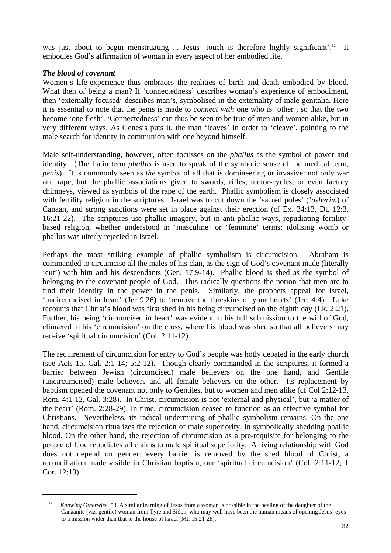was just about to begin menstruating ... Jesus' touch is therefore highly significant'.<sup>12</sup> It embodies God's affirmation of woman in every aspect of her embodied life.

#### *The blood of covenant*

l

Women's life-experience thus embraces the realities of birth and death embodied by blood. What then of being a man? If 'connectedness' describes woman's experience of embodiment, then 'externally focused' describes man's, symbolised in the externality of male genitalia. Here it is essential to note that the penis is made to *connect with* one who is 'other', so that the two become 'one flesh'. 'Connectedness' can thus be seen to be true of men and women alike, but in very different ways. As Genesis puts it, the man 'leaves' in order to 'cleave', pointing to the male search for identity in communion with one beyond himself.

Male self-understanding, however, often focusses on the *phallus* as the symbol of power and identity. (The Latin term *phallus* is used to speak of the symbolic sense of the medical term, *penis*). It is commonly seen as *the* symbol of all that is domineering or invasive: not only war and rape, but the phallic associations given to swords, rifles, motor-cycles, or even factory chimneys, viewed as symbols of the rape of the earth. Phallic symbolism is closely associated with fertility religion in the scriptures. Israel was to cut down the 'sacred poles' ('*asherim*) of Canaan, and strong sanctions were set in place against their erection (cf Ex. 34:13, Dt. 12:3, 16:21-22). The scriptures use phallic imagery, but in anti-phallic ways, repudiating fertilitybased religion, whether understood in 'masculine' or 'feminine' terms: idolising womb or phallus was utterly rejected in Israel.

Perhaps the most striking example of phallic symbolism is circumcision. Abraham is commanded to circumcise all the males of his clan, as the sign of God's covenant made (literally 'cut') with him and his descendants (Gen. 17:9-14). Phallic blood is shed as the symbol of belonging to the covenant people of God. This radically questions the notion that men are to find their identity in the power in the penis. Similarly, the prophets appeal for Israel, 'uncircumcised in heart' (Jer 9.26) to 'remove the foreskins of your hearts' (Jer. 4:4). Luke recounts that Christ's blood was first shed in his being circumcised on the eighth day (Lk. 2:21). Further, his being 'circumcised in heart' was evident in his full submission to the will of God, climaxed in his 'circumcision' on the cross, where his blood was shed so that all believers may receive 'spiritual circumcision' (Col. 2:11-12).

The requirement of circumcision for entry to God's people was hotly debated in the early church (see Acts 15, Gal. 2:1-14; 5:2-12). Though clearly commanded in the scriptures, it formed a barrier between Jewish (circumcised) male believers on the one hand, and Gentile (uncircumcised) male believers and all female believers on the other. Its replacement by baptism opened the covenant not only to Gentiles, but to women and men alike (cf Col 2:12-13, Rom. 4:1-12, Gal. 3:28). In Christ, circumcision is not 'external and physical', but 'a matter of the heart' (Rom. 2:28-29). In time, circumcision ceased to function as an effective symbol for Christians. Nevertheless, its radical undermining of phallic symbolism remains. On the one hand, circumcision ritualizes the rejection of male superiority, in symbolically shedding phallic blood. On the other hand, the rejection of circumcision as a pre-requisite for belonging to the people of God repudiates all claims to male spiritual superiority. A living relationship with God does not depend on gender: every barrier is removed by the shed blood of Christ, a reconciliation made visible in Christian baptism, our 'spiritual circumcision' (Col. 2:11-12; 1 Cor. 12:13).

<span id="page-31-0"></span><sup>&</sup>lt;sup>12</sup> *Knowing Otherwise*, 53. A similar learning of Jesus from a woman is possible in the healing of the daughter of the Canaanite (viz. gentile) woman from Tyre and Sidon, who may well have been the human means of opening Jesus' eyes to a mission wider than that to the house of Israel (Mt. 15:21-28).